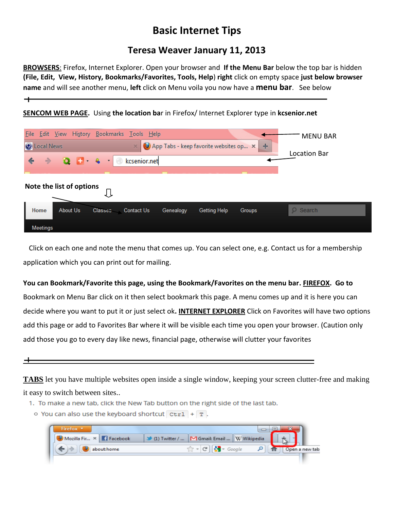## **Basic Internet Tips**

## **Teresa Weaver January 11, 2013**

**BROWSERS**: Firefox, Internet Explorer. Open your browser and **If the Menu Bar** below the top bar is hidden **(File, Edit, View, History, Bookmarks/Favorites, Tools, Help**) **right** click on empty space **just below browser name** and will see another menu, **left** click on Menu voila you now have a **menu bar**. See below

## **SENCOM WEB PAGE.** Using **the location ba**r in Firefox/ Internet Explorer type in **kcsenior.net**

| File Edit View History Bookmarks Tools Help<br>App Tabs - keep favorite websites op x +<br><b>O</b> Local News           | <b>MENU BAR</b><br>Location Bar |
|--------------------------------------------------------------------------------------------------------------------------|---------------------------------|
| Note the list of options                                                                                                 |                                 |
| About Us<br>Home<br><b>Classes</b><br><b>Contact Us</b><br><b>Getting Help</b><br>Genealogy<br>Groups<br><b>Meetings</b> | $Q$ Search                      |

Click on each one and note the menu that comes up. You can select one, e.g. Contact us for a membership application which you can print out for mailing.

## **You can Bookmark/Favorite this page, using the Bookmark/Favorites on the menu bar. FIREFOX. Go to**

Bookmark on Menu Bar click on it then select bookmark this page. A menu comes up and it is here you can decide where you want to put it or just select ok**. INTERNET EXPLORER** Click on Favorites will have two options add this page or add to Favorites Bar where it will be visible each time you open your browser. (Caution only add those you go to every day like news, financial page, otherwise will clutter your favorites



 $\mathbf +$ 

**TABS** let you have multiple websites open inside a single window, keeping your screen clutter-free and making it easy to switch between sites..

- 1. To make a new tab, click the New Tab button on the right side of the last tab.
	- $\circ$  You can also use the keyboard shortcut  $ctr1 + T$ .